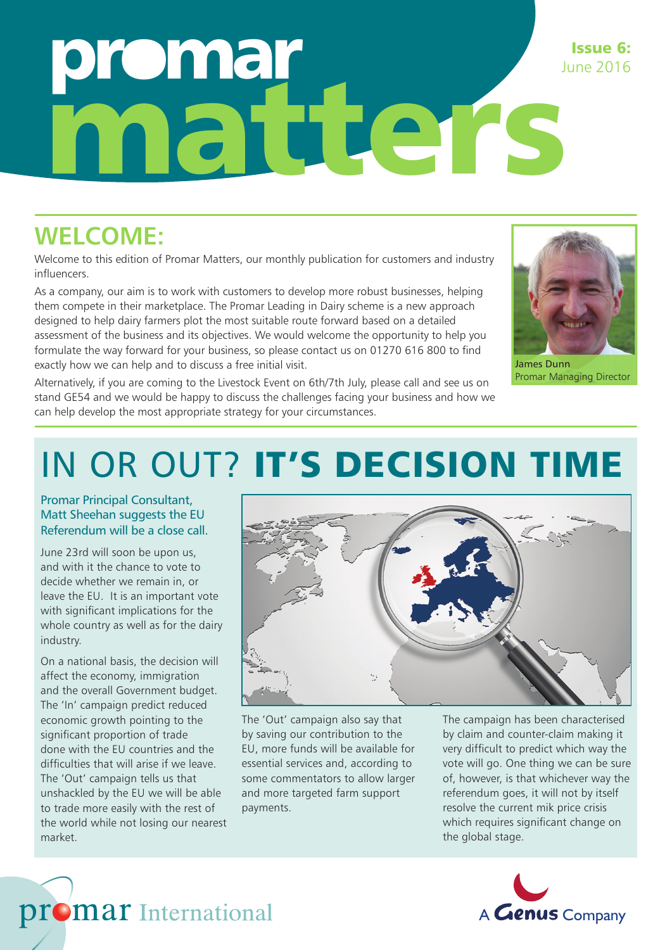## omar matters Issue 6: June 2016

### **WELCOME:**

Welcome to this edition of Promar Matters, our monthly publication for customers and industry influencers.

As a company, our aim is to work with customers to develop more robust businesses, helping them compete in their marketplace. The Promar Leading in Dairy scheme is a new approach designed to help dairy farmers plot the most suitable route forward based on a detailed assessment of the business and its objectives. We would welcome the opportunity to help you formulate the way forward for your business, so please contact us on 01270 616 800 to find exactly how we can help and to discuss a free initial visit.

Alternatively, if you are coming to the Livestock Event on 6th/7th July, please call and see us on stand GE54 and we would be happy to discuss the challenges facing your business and how we can help develop the most appropriate strategy for your circumstances.



James Dunn Promar Managing Director

## IN OR OUT? IT'S DECISION TIME

Promar Principal Consultant, Matt Sheehan suggests the EU Referendum will be a close call.

June 23rd will soon be upon us, and with it the chance to vote to decide whether we remain in, or leave the EU. It is an important vote with significant implications for the whole country as well as for the dairy industry.

On a national basis, the decision will affect the economy, immigration and the overall Government budget. The 'In' campaign predict reduced economic growth pointing to the significant proportion of trade done with the EU countries and the difficulties that will arise if we leave The 'Out' campaign tells us that unshackled by the EU we will be able to trade more easily with the rest of the world while not losing our nearest market.



The 'Out' campaign also say that by saving our contribution to the EU, more funds will be available for essential services and, according to some commentators to allow larger and more targeted farm support payments.

The campaign has been characterised by claim and counter-claim making it very difficult to predict which way the vote will go. One thing we can be sure of, however, is that whichever way the referendum goes, it will not by itself resolve the current mik price crisis which requires significant change on the global stage.